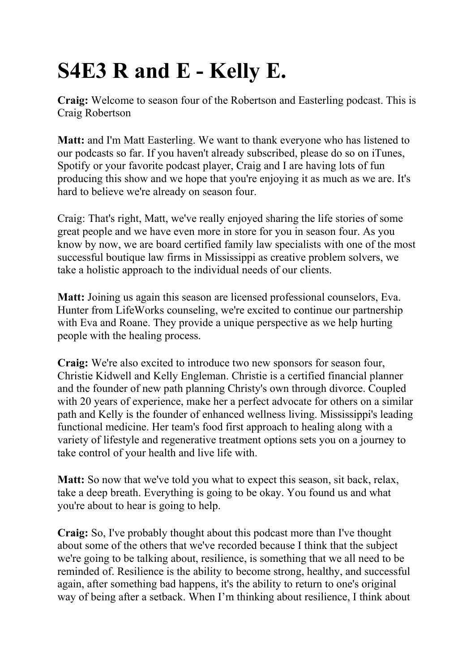## **S4E3 R and E - Kelly E.**

**Craig:** Welcome to season four of the Robertson and Easterling podcast. This is Craig Robertson

**Matt:** and I'm Matt Easterling. We want to thank everyone who has listened to our podcasts so far. If you haven't already subscribed, please do so on iTunes, Spotify or your favorite podcast player, Craig and I are having lots of fun producing this show and we hope that you're enjoying it as much as we are. It's hard to believe we're already on season four.

Craig: That's right, Matt, we've really enjoyed sharing the life stories of some great people and we have even more in store for you in season four. As you know by now, we are board certified family law specialists with one of the most successful boutique law firms in Mississippi as creative problem solvers, we take a holistic approach to the individual needs of our clients.

**Matt:** Joining us again this season are licensed professional counselors, Eva. Hunter from LifeWorks counseling, we're excited to continue our partnership with Eva and Roane. They provide a unique perspective as we help hurting people with the healing process.

**Craig:** We're also excited to introduce two new sponsors for season four, Christie Kidwell and Kelly Engleman. Christie is a certified financial planner and the founder of new path planning Christy's own through divorce. Coupled with 20 years of experience, make her a perfect advocate for others on a similar path and Kelly is the founder of enhanced wellness living. Mississippi's leading functional medicine. Her team's food first approach to healing along with a variety of lifestyle and regenerative treatment options sets you on a journey to take control of your health and live life with.

**Matt:** So now that we've told you what to expect this season, sit back, relax, take a deep breath. Everything is going to be okay. You found us and what you're about to hear is going to help.

**Craig:** So, I've probably thought about this podcast more than I've thought about some of the others that we've recorded because I think that the subject we're going to be talking about, resilience, is something that we all need to be reminded of. Resilience is the ability to become strong, healthy, and successful again, after something bad happens, it's the ability to return to one's original way of being after a setback. When I'm thinking about resilience, I think about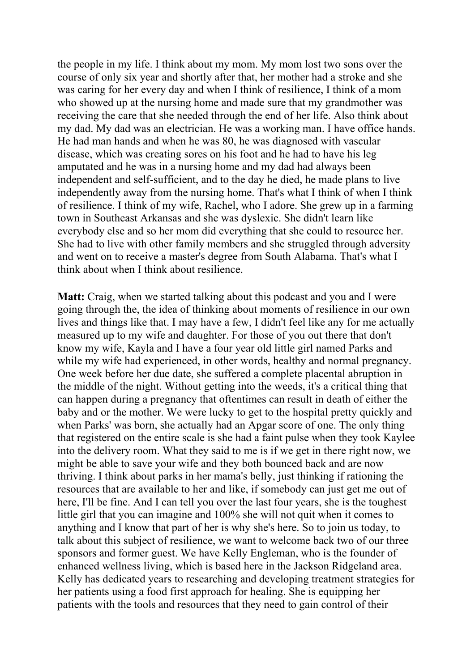the people in my life. I think about my mom. My mom lost two sons over the course of only six year and shortly after that, her mother had a stroke and she was caring for her every day and when I think of resilience, I think of a mom who showed up at the nursing home and made sure that my grandmother was receiving the care that she needed through the end of her life. Also think about my dad. My dad was an electrician. He was a working man. I have office hands. He had man hands and when he was 80, he was diagnosed with vascular disease, which was creating sores on his foot and he had to have his leg amputated and he was in a nursing home and my dad had always been independent and self-sufficient, and to the day he died, he made plans to live independently away from the nursing home. That's what I think of when I think of resilience. I think of my wife, Rachel, who I adore. She grew up in a farming town in Southeast Arkansas and she was dyslexic. She didn't learn like everybody else and so her mom did everything that she could to resource her. She had to live with other family members and she struggled through adversity and went on to receive a master's degree from South Alabama. That's what I think about when I think about resilience.

**Matt:** Craig, when we started talking about this podcast and you and I were going through the, the idea of thinking about moments of resilience in our own lives and things like that. I may have a few, I didn't feel like any for me actually measured up to my wife and daughter. For those of you out there that don't know my wife, Kayla and I have a four year old little girl named Parks and while my wife had experienced, in other words, healthy and normal pregnancy. One week before her due date, she suffered a complete placental abruption in the middle of the night. Without getting into the weeds, it's a critical thing that can happen during a pregnancy that oftentimes can result in death of either the baby and or the mother. We were lucky to get to the hospital pretty quickly and when Parks' was born, she actually had an Apgar score of one. The only thing that registered on the entire scale is she had a faint pulse when they took Kaylee into the delivery room. What they said to me is if we get in there right now, we might be able to save your wife and they both bounced back and are now thriving. I think about parks in her mama's belly, just thinking if rationing the resources that are available to her and like, if somebody can just get me out of here, I'll be fine. And I can tell you over the last four years, she is the toughest little girl that you can imagine and 100% she will not quit when it comes to anything and I know that part of her is why she's here. So to join us today, to talk about this subject of resilience, we want to welcome back two of our three sponsors and former guest. We have Kelly Engleman, who is the founder of enhanced wellness living, which is based here in the Jackson Ridgeland area. Kelly has dedicated years to researching and developing treatment strategies for her patients using a food first approach for healing. She is equipping her patients with the tools and resources that they need to gain control of their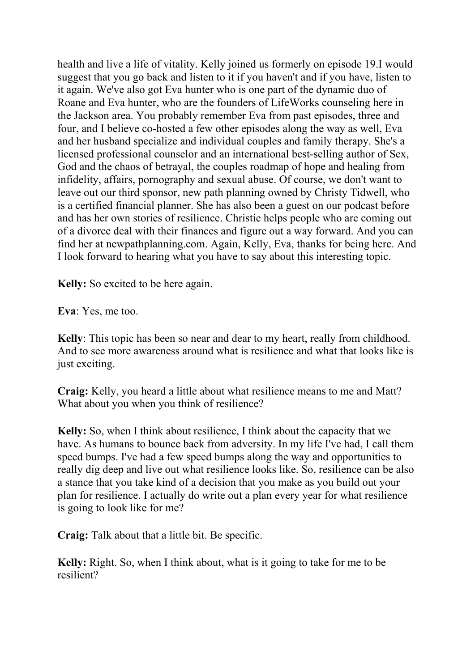health and live a life of vitality. Kelly joined us formerly on episode 19.I would suggest that you go back and listen to it if you haven't and if you have, listen to it again. We've also got Eva hunter who is one part of the dynamic duo of Roane and Eva hunter, who are the founders of LifeWorks counseling here in the Jackson area. You probably remember Eva from past episodes, three and four, and I believe co-hosted a few other episodes along the way as well, Eva and her husband specialize and individual couples and family therapy. She's a licensed professional counselor and an international best-selling author of Sex, God and the chaos of betrayal, the couples roadmap of hope and healing from infidelity, affairs, pornography and sexual abuse. Of course, we don't want to leave out our third sponsor, new path planning owned by Christy Tidwell, who is a certified financial planner. She has also been a guest on our podcast before and has her own stories of resilience. Christie helps people who are coming out of a divorce deal with their finances and figure out a way forward. And you can find her at newpathplanning.com. Again, Kelly, Eva, thanks for being here. And I look forward to hearing what you have to say about this interesting topic.

**Kelly:** So excited to be here again.

**Eva**: Yes, me too.

**Kelly**: This topic has been so near and dear to my heart, really from childhood. And to see more awareness around what is resilience and what that looks like is just exciting.

**Craig:** Kelly, you heard a little about what resilience means to me and Matt? What about you when you think of resilience?

**Kelly:** So, when I think about resilience, I think about the capacity that we have. As humans to bounce back from adversity. In my life I've had, I call them speed bumps. I've had a few speed bumps along the way and opportunities to really dig deep and live out what resilience looks like. So, resilience can be also a stance that you take kind of a decision that you make as you build out your plan for resilience. I actually do write out a plan every year for what resilience is going to look like for me?

**Craig:** Talk about that a little bit. Be specific.

**Kelly:** Right. So, when I think about, what is it going to take for me to be resilient?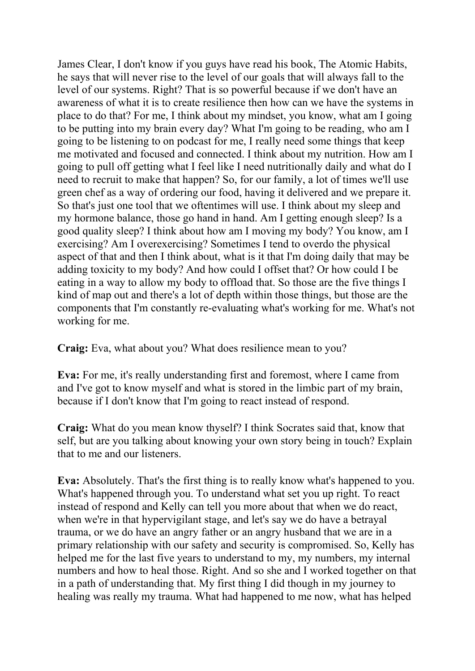James Clear, I don't know if you guys have read his book, The Atomic Habits, he says that will never rise to the level of our goals that will always fall to the level of our systems. Right? That is so powerful because if we don't have an awareness of what it is to create resilience then how can we have the systems in place to do that? For me, I think about my mindset, you know, what am I going to be putting into my brain every day? What I'm going to be reading, who am I going to be listening to on podcast for me, I really need some things that keep me motivated and focused and connected. I think about my nutrition. How am I going to pull off getting what I feel like I need nutritionally daily and what do I need to recruit to make that happen? So, for our family, a lot of times we'll use green chef as a way of ordering our food, having it delivered and we prepare it. So that's just one tool that we oftentimes will use. I think about my sleep and my hormone balance, those go hand in hand. Am I getting enough sleep? Is a good quality sleep? I think about how am I moving my body? You know, am I exercising? Am I overexercising? Sometimes I tend to overdo the physical aspect of that and then I think about, what is it that I'm doing daily that may be adding toxicity to my body? And how could I offset that? Or how could I be eating in a way to allow my body to offload that. So those are the five things I kind of map out and there's a lot of depth within those things, but those are the components that I'm constantly re-evaluating what's working for me. What's not working for me.

**Craig:** Eva, what about you? What does resilience mean to you?

**Eva:** For me, it's really understanding first and foremost, where I came from and I've got to know myself and what is stored in the limbic part of my brain, because if I don't know that I'm going to react instead of respond.

**Craig:** What do you mean know thyself? I think Socrates said that, know that self, but are you talking about knowing your own story being in touch? Explain that to me and our listeners.

**Eva:** Absolutely. That's the first thing is to really know what's happened to you. What's happened through you. To understand what set you up right. To react instead of respond and Kelly can tell you more about that when we do react, when we're in that hypervigilant stage, and let's say we do have a betrayal trauma, or we do have an angry father or an angry husband that we are in a primary relationship with our safety and security is compromised. So, Kelly has helped me for the last five years to understand to my, my numbers, my internal numbers and how to heal those. Right. And so she and I worked together on that in a path of understanding that. My first thing I did though in my journey to healing was really my trauma. What had happened to me now, what has helped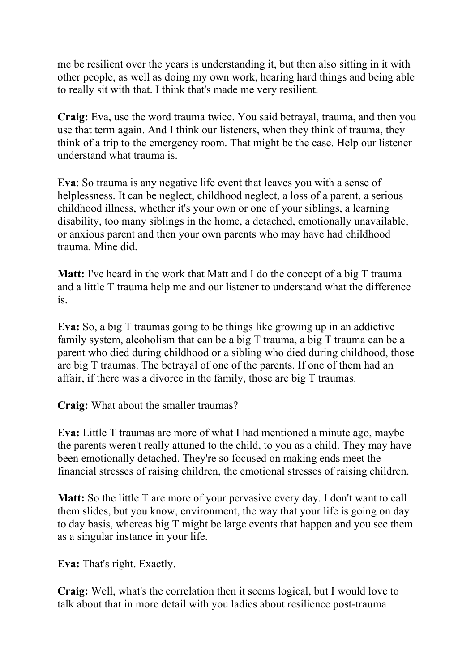me be resilient over the years is understanding it, but then also sitting in it with other people, as well as doing my own work, hearing hard things and being able to really sit with that. I think that's made me very resilient.

**Craig:** Eva, use the word trauma twice. You said betrayal, trauma, and then you use that term again. And I think our listeners, when they think of trauma, they think of a trip to the emergency room. That might be the case. Help our listener understand what trauma is.

**Eva**: So trauma is any negative life event that leaves you with a sense of helplessness. It can be neglect, childhood neglect, a loss of a parent, a serious childhood illness, whether it's your own or one of your siblings, a learning disability, too many siblings in the home, a detached, emotionally unavailable, or anxious parent and then your own parents who may have had childhood trauma. Mine did.

**Matt:** I've heard in the work that Matt and I do the concept of a big T trauma and a little T trauma help me and our listener to understand what the difference is.

**Eva:** So, a big T traumas going to be things like growing up in an addictive family system, alcoholism that can be a big T trauma, a big T trauma can be a parent who died during childhood or a sibling who died during childhood, those are big T traumas. The betrayal of one of the parents. If one of them had an affair, if there was a divorce in the family, those are big T traumas.

**Craig:** What about the smaller traumas?

**Eva:** Little T traumas are more of what I had mentioned a minute ago, maybe the parents weren't really attuned to the child, to you as a child. They may have been emotionally detached. They're so focused on making ends meet the financial stresses of raising children, the emotional stresses of raising children.

**Matt:** So the little T are more of your pervasive every day. I don't want to call them slides, but you know, environment, the way that your life is going on day to day basis, whereas big T might be large events that happen and you see them as a singular instance in your life.

**Eva:** That's right. Exactly.

**Craig:** Well, what's the correlation then it seems logical, but I would love to talk about that in more detail with you ladies about resilience post-trauma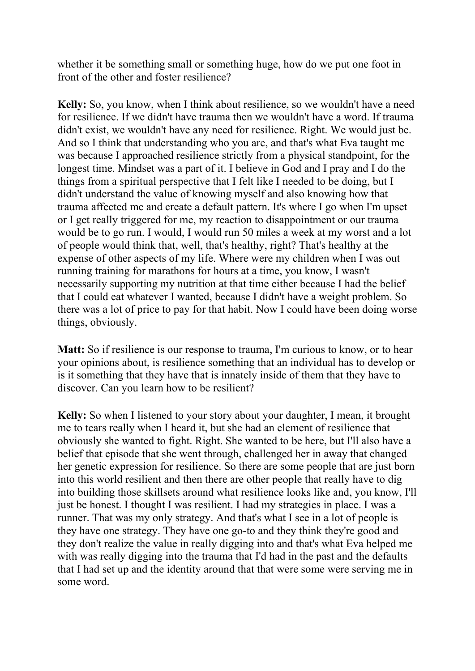whether it be something small or something huge, how do we put one foot in front of the other and foster resilience?

**Kelly:** So, you know, when I think about resilience, so we wouldn't have a need for resilience. If we didn't have trauma then we wouldn't have a word. If trauma didn't exist, we wouldn't have any need for resilience. Right. We would just be. And so I think that understanding who you are, and that's what Eva taught me was because I approached resilience strictly from a physical standpoint, for the longest time. Mindset was a part of it. I believe in God and I pray and I do the things from a spiritual perspective that I felt like I needed to be doing, but I didn't understand the value of knowing myself and also knowing how that trauma affected me and create a default pattern. It's where I go when I'm upset or I get really triggered for me, my reaction to disappointment or our trauma would be to go run. I would, I would run 50 miles a week at my worst and a lot of people would think that, well, that's healthy, right? That's healthy at the expense of other aspects of my life. Where were my children when I was out running training for marathons for hours at a time, you know, I wasn't necessarily supporting my nutrition at that time either because I had the belief that I could eat whatever I wanted, because I didn't have a weight problem. So there was a lot of price to pay for that habit. Now I could have been doing worse things, obviously.

**Matt:** So if resilience is our response to trauma, I'm curious to know, or to hear your opinions about, is resilience something that an individual has to develop or is it something that they have that is innately inside of them that they have to discover. Can you learn how to be resilient?

**Kelly:** So when I listened to your story about your daughter, I mean, it brought me to tears really when I heard it, but she had an element of resilience that obviously she wanted to fight. Right. She wanted to be here, but I'll also have a belief that episode that she went through, challenged her in away that changed her genetic expression for resilience. So there are some people that are just born into this world resilient and then there are other people that really have to dig into building those skillsets around what resilience looks like and, you know, I'll just be honest. I thought I was resilient. I had my strategies in place. I was a runner. That was my only strategy. And that's what I see in a lot of people is they have one strategy. They have one go-to and they think they're good and they don't realize the value in really digging into and that's what Eva helped me with was really digging into the trauma that I'd had in the past and the defaults that I had set up and the identity around that that were some were serving me in some word.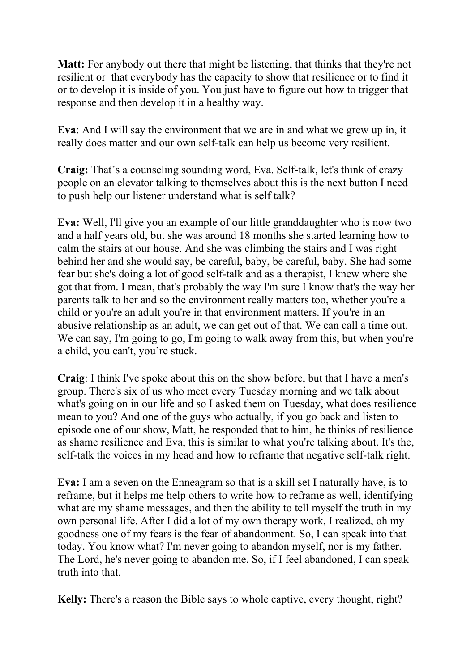**Matt:** For anybody out there that might be listening, that thinks that they're not resilient or that everybody has the capacity to show that resilience or to find it or to develop it is inside of you. You just have to figure out how to trigger that response and then develop it in a healthy way.

**Eva**: And I will say the environment that we are in and what we grew up in, it really does matter and our own self-talk can help us become very resilient.

**Craig:** That's a counseling sounding word, Eva. Self-talk, let's think of crazy people on an elevator talking to themselves about this is the next button I need to push help our listener understand what is self talk?

**Eva:** Well, I'll give you an example of our little granddaughter who is now two and a half years old, but she was around 18 months she started learning how to calm the stairs at our house. And she was climbing the stairs and I was right behind her and she would say, be careful, baby, be careful, baby. She had some fear but she's doing a lot of good self-talk and as a therapist, I knew where she got that from. I mean, that's probably the way I'm sure I know that's the way her parents talk to her and so the environment really matters too, whether you're a child or you're an adult you're in that environment matters. If you're in an abusive relationship as an adult, we can get out of that. We can call a time out. We can say, I'm going to go, I'm going to walk away from this, but when you're a child, you can't, you're stuck.

**Craig**: I think I've spoke about this on the show before, but that I have a men's group. There's six of us who meet every Tuesday morning and we talk about what's going on in our life and so I asked them on Tuesday, what does resilience mean to you? And one of the guys who actually, if you go back and listen to episode one of our show, Matt, he responded that to him, he thinks of resilience as shame resilience and Eva, this is similar to what you're talking about. It's the, self-talk the voices in my head and how to reframe that negative self-talk right.

**Eva:** I am a seven on the Enneagram so that is a skill set I naturally have, is to reframe, but it helps me help others to write how to reframe as well, identifying what are my shame messages, and then the ability to tell myself the truth in my own personal life. After I did a lot of my own therapy work, I realized, oh my goodness one of my fears is the fear of abandonment. So, I can speak into that today. You know what? I'm never going to abandon myself, nor is my father. The Lord, he's never going to abandon me. So, if I feel abandoned, I can speak truth into that.

**Kelly:** There's a reason the Bible says to whole captive, every thought, right?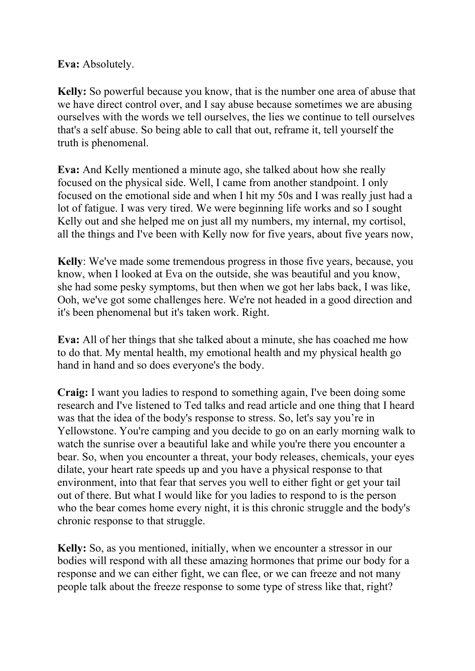**Eva:** Absolutely.

**Kelly:** So powerful because you know, that is the number one area of abuse that we have direct control over, and I say abuse because sometimes we are abusing ourselves with the words we tell ourselves, the lies we continue to tell ourselves that's a self abuse. So being able to call that out, reframe it, tell yourself the truth is phenomenal.

**Eva:** And Kelly mentioned a minute ago, she talked about how she really focused on the physical side. Well, I came from another standpoint. I only focused on the emotional side and when I hit my 50s and I was really just had a lot of fatigue. I was very tired. We were beginning life works and so I sought Kelly out and she helped me on just all my numbers, my internal, my cortisol, all the things and I've been with Kelly now for five years, about five years now,

**Kelly**: We've made some tremendous progress in those five years, because, you know, when I looked at Eva on the outside, she was beautiful and you know, she had some pesky symptoms, but then when we got her labs back, I was like, Ooh, we've got some challenges here. We're not headed in a good direction and it's been phenomenal but it's taken work. Right.

**Eva:** All of her things that she talked about a minute, she has coached me how to do that. My mental health, my emotional health and my physical health go hand in hand and so does everyone's the body.

**Craig:** I want you ladies to respond to something again, I've been doing some research and I've listened to Ted talks and read article and one thing that I heard was that the idea of the body's response to stress. So, let's say you're in Yellowstone. You're camping and you decide to go on an early morning walk to watch the sunrise over a beautiful lake and while you're there you encounter a bear. So, when you encounter a threat, your body releases, chemicals, your eyes dilate, your heart rate speeds up and you have a physical response to that environment, into that fear that serves you well to either fight or get your tail out of there. But what I would like for you ladies to respond to is the person who the bear comes home every night, it is this chronic struggle and the body's chronic response to that struggle.

**Kelly:** So, as you mentioned, initially, when we encounter a stressor in our bodies will respond with all these amazing hormones that prime our body for a response and we can either fight, we can flee, or we can freeze and not many people talk about the freeze response to some type of stress like that, right?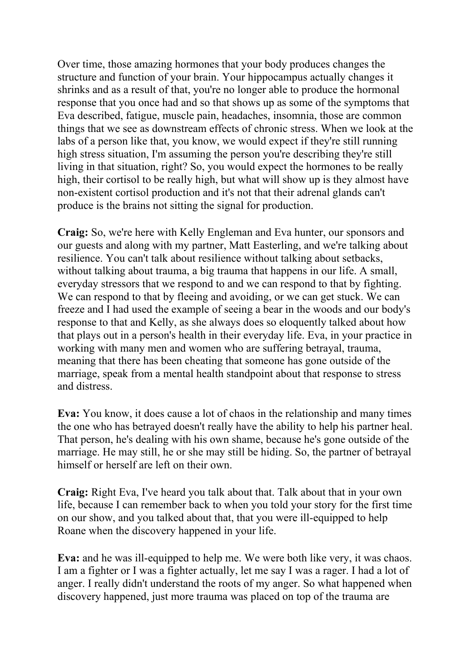Over time, those amazing hormones that your body produces changes the structure and function of your brain. Your hippocampus actually changes it shrinks and as a result of that, you're no longer able to produce the hormonal response that you once had and so that shows up as some of the symptoms that Eva described, fatigue, muscle pain, headaches, insomnia, those are common things that we see as downstream effects of chronic stress. When we look at the labs of a person like that, you know, we would expect if they're still running high stress situation, I'm assuming the person you're describing they're still living in that situation, right? So, you would expect the hormones to be really high, their cortisol to be really high, but what will show up is they almost have non-existent cortisol production and it's not that their adrenal glands can't produce is the brains not sitting the signal for production.

**Craig:** So, we're here with Kelly Engleman and Eva hunter, our sponsors and our guests and along with my partner, Matt Easterling, and we're talking about resilience. You can't talk about resilience without talking about setbacks, without talking about trauma, a big trauma that happens in our life. A small, everyday stressors that we respond to and we can respond to that by fighting. We can respond to that by fleeing and avoiding, or we can get stuck. We can freeze and I had used the example of seeing a bear in the woods and our body's response to that and Kelly, as she always does so eloquently talked about how that plays out in a person's health in their everyday life. Eva, in your practice in working with many men and women who are suffering betrayal, trauma, meaning that there has been cheating that someone has gone outside of the marriage, speak from a mental health standpoint about that response to stress and distress.

**Eva:** You know, it does cause a lot of chaos in the relationship and many times the one who has betrayed doesn't really have the ability to help his partner heal. That person, he's dealing with his own shame, because he's gone outside of the marriage. He may still, he or she may still be hiding. So, the partner of betrayal himself or herself are left on their own.

**Craig:** Right Eva, I've heard you talk about that. Talk about that in your own life, because I can remember back to when you told your story for the first time on our show, and you talked about that, that you were ill-equipped to help Roane when the discovery happened in your life.

**Eva:** and he was ill-equipped to help me. We were both like very, it was chaos. I am a fighter or I was a fighter actually, let me say I was a rager. I had a lot of anger. I really didn't understand the roots of my anger. So what happened when discovery happened, just more trauma was placed on top of the trauma are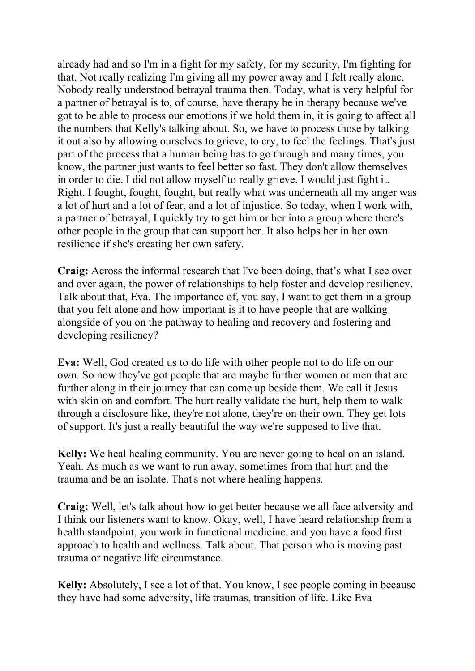already had and so I'm in a fight for my safety, for my security, I'm fighting for that. Not really realizing I'm giving all my power away and I felt really alone. Nobody really understood betrayal trauma then. Today, what is very helpful for a partner of betrayal is to, of course, have therapy be in therapy because we've got to be able to process our emotions if we hold them in, it is going to affect all the numbers that Kelly's talking about. So, we have to process those by talking it out also by allowing ourselves to grieve, to cry, to feel the feelings. That's just part of the process that a human being has to go through and many times, you know, the partner just wants to feel better so fast. They don't allow themselves in order to die. I did not allow myself to really grieve. I would just fight it. Right. I fought, fought, fought, but really what was underneath all my anger was a lot of hurt and a lot of fear, and a lot of injustice. So today, when I work with, a partner of betrayal, I quickly try to get him or her into a group where there's other people in the group that can support her. It also helps her in her own resilience if she's creating her own safety.

**Craig:** Across the informal research that I've been doing, that's what I see over and over again, the power of relationships to help foster and develop resiliency. Talk about that, Eva. The importance of, you say, I want to get them in a group that you felt alone and how important is it to have people that are walking alongside of you on the pathway to healing and recovery and fostering and developing resiliency?

**Eva:** Well, God created us to do life with other people not to do life on our own. So now they've got people that are maybe further women or men that are further along in their journey that can come up beside them. We call it Jesus with skin on and comfort. The hurt really validate the hurt, help them to walk through a disclosure like, they're not alone, they're on their own. They get lots of support. It's just a really beautiful the way we're supposed to live that.

**Kelly:** We heal healing community. You are never going to heal on an island. Yeah. As much as we want to run away, sometimes from that hurt and the trauma and be an isolate. That's not where healing happens.

**Craig:** Well, let's talk about how to get better because we all face adversity and I think our listeners want to know. Okay, well, I have heard relationship from a health standpoint, you work in functional medicine, and you have a food first approach to health and wellness. Talk about. That person who is moving past trauma or negative life circumstance.

**Kelly:** Absolutely, I see a lot of that. You know, I see people coming in because they have had some adversity, life traumas, transition of life. Like Eva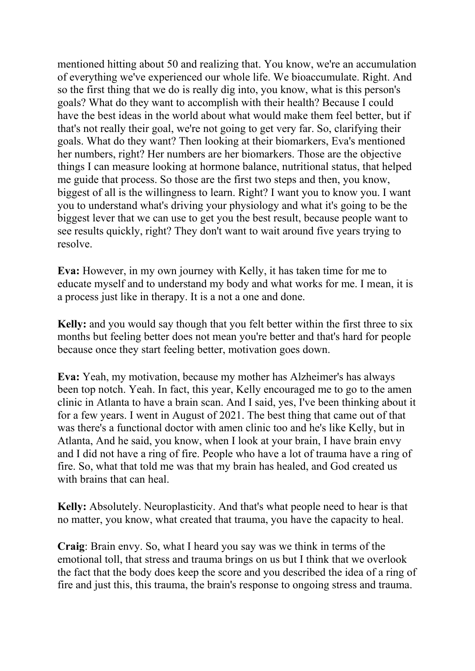mentioned hitting about 50 and realizing that. You know, we're an accumulation of everything we've experienced our whole life. We bioaccumulate. Right. And so the first thing that we do is really dig into, you know, what is this person's goals? What do they want to accomplish with their health? Because I could have the best ideas in the world about what would make them feel better, but if that's not really their goal, we're not going to get very far. So, clarifying their goals. What do they want? Then looking at their biomarkers, Eva's mentioned her numbers, right? Her numbers are her biomarkers. Those are the objective things I can measure looking at hormone balance, nutritional status, that helped me guide that process. So those are the first two steps and then, you know, biggest of all is the willingness to learn. Right? I want you to know you. I want you to understand what's driving your physiology and what it's going to be the biggest lever that we can use to get you the best result, because people want to see results quickly, right? They don't want to wait around five years trying to resolve.

**Eva:** However, in my own journey with Kelly, it has taken time for me to educate myself and to understand my body and what works for me. I mean, it is a process just like in therapy. It is a not a one and done.

**Kelly:** and you would say though that you felt better within the first three to six months but feeling better does not mean you're better and that's hard for people because once they start feeling better, motivation goes down.

**Eva:** Yeah, my motivation, because my mother has Alzheimer's has always been top notch. Yeah. In fact, this year, Kelly encouraged me to go to the amen clinic in Atlanta to have a brain scan. And I said, yes, I've been thinking about it for a few years. I went in August of 2021. The best thing that came out of that was there's a functional doctor with amen clinic too and he's like Kelly, but in Atlanta, And he said, you know, when I look at your brain, I have brain envy and I did not have a ring of fire. People who have a lot of trauma have a ring of fire. So, what that told me was that my brain has healed, and God created us with brains that can heal.

**Kelly:** Absolutely. Neuroplasticity. And that's what people need to hear is that no matter, you know, what created that trauma, you have the capacity to heal.

**Craig**: Brain envy. So, what I heard you say was we think in terms of the emotional toll, that stress and trauma brings on us but I think that we overlook the fact that the body does keep the score and you described the idea of a ring of fire and just this, this trauma, the brain's response to ongoing stress and trauma.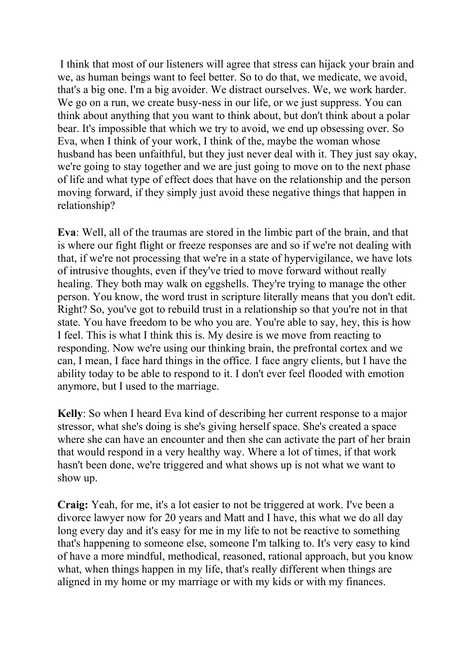I think that most of our listeners will agree that stress can hijack your brain and we, as human beings want to feel better. So to do that, we medicate, we avoid, that's a big one. I'm a big avoider. We distract ourselves. We, we work harder. We go on a run, we create busy-ness in our life, or we just suppress. You can think about anything that you want to think about, but don't think about a polar bear. It's impossible that which we try to avoid, we end up obsessing over. So Eva, when I think of your work, I think of the, maybe the woman whose husband has been unfaithful, but they just never deal with it. They just say okay, we're going to stay together and we are just going to move on to the next phase of life and what type of effect does that have on the relationship and the person moving forward, if they simply just avoid these negative things that happen in relationship?

**Eva**: Well, all of the traumas are stored in the limbic part of the brain, and that is where our fight flight or freeze responses are and so if we're not dealing with that, if we're not processing that we're in a state of hypervigilance, we have lots of intrusive thoughts, even if they've tried to move forward without really healing. They both may walk on eggshells. They're trying to manage the other person. You know, the word trust in scripture literally means that you don't edit. Right? So, you've got to rebuild trust in a relationship so that you're not in that state. You have freedom to be who you are. You're able to say, hey, this is how I feel. This is what I think this is. My desire is we move from reacting to responding. Now we're using our thinking brain, the prefrontal cortex and we can, I mean, I face hard things in the office. I face angry clients, but I have the ability today to be able to respond to it. I don't ever feel flooded with emotion anymore, but I used to the marriage.

**Kelly**: So when I heard Eva kind of describing her current response to a major stressor, what she's doing is she's giving herself space. She's created a space where she can have an encounter and then she can activate the part of her brain that would respond in a very healthy way. Where a lot of times, if that work hasn't been done, we're triggered and what shows up is not what we want to show up.

**Craig:** Yeah, for me, it's a lot easier to not be triggered at work. I've been a divorce lawyer now for 20 years and Matt and I have, this what we do all day long every day and it's easy for me in my life to not be reactive to something that's happening to someone else, someone I'm talking to. It's very easy to kind of have a more mindful, methodical, reasoned, rational approach, but you know what, when things happen in my life, that's really different when things are aligned in my home or my marriage or with my kids or with my finances.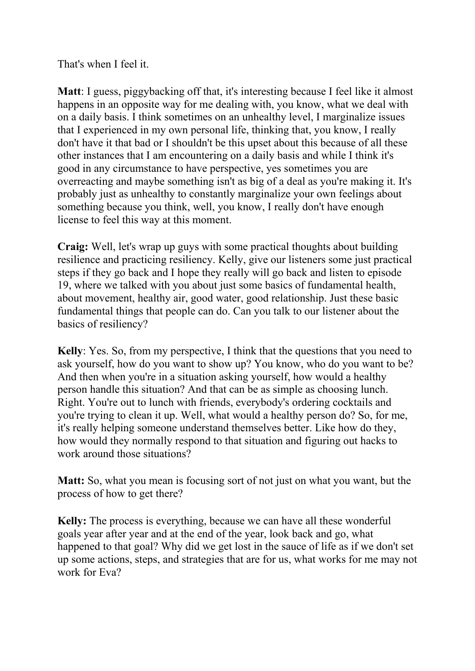That's when I feel it.

**Matt**: I guess, piggybacking off that, it's interesting because I feel like it almost happens in an opposite way for me dealing with, you know, what we deal with on a daily basis. I think sometimes on an unhealthy level, I marginalize issues that I experienced in my own personal life, thinking that, you know, I really don't have it that bad or I shouldn't be this upset about this because of all these other instances that I am encountering on a daily basis and while I think it's good in any circumstance to have perspective, yes sometimes you are overreacting and maybe something isn't as big of a deal as you're making it. It's probably just as unhealthy to constantly marginalize your own feelings about something because you think, well, you know, I really don't have enough license to feel this way at this moment.

**Craig:** Well, let's wrap up guys with some practical thoughts about building resilience and practicing resiliency. Kelly, give our listeners some just practical steps if they go back and I hope they really will go back and listen to episode 19, where we talked with you about just some basics of fundamental health, about movement, healthy air, good water, good relationship. Just these basic fundamental things that people can do. Can you talk to our listener about the basics of resiliency?

**Kelly**: Yes. So, from my perspective, I think that the questions that you need to ask yourself, how do you want to show up? You know, who do you want to be? And then when you're in a situation asking yourself, how would a healthy person handle this situation? And that can be as simple as choosing lunch. Right. You're out to lunch with friends, everybody's ordering cocktails and you're trying to clean it up. Well, what would a healthy person do? So, for me, it's really helping someone understand themselves better. Like how do they, how would they normally respond to that situation and figuring out hacks to work around those situations?

**Matt:** So, what you mean is focusing sort of not just on what you want, but the process of how to get there?

**Kelly:** The process is everything, because we can have all these wonderful goals year after year and at the end of the year, look back and go, what happened to that goal? Why did we get lost in the sauce of life as if we don't set up some actions, steps, and strategies that are for us, what works for me may not work for Eva?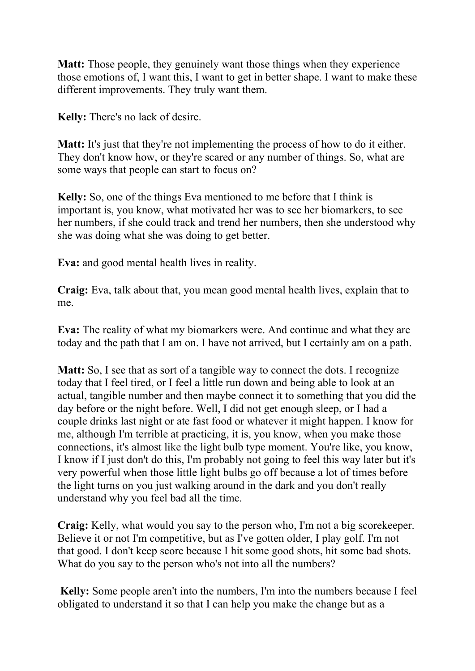**Matt:** Those people, they genuinely want those things when they experience those emotions of, I want this, I want to get in better shape. I want to make these different improvements. They truly want them.

**Kelly:** There's no lack of desire.

**Matt:** It's just that they're not implementing the process of how to do it either. They don't know how, or they're scared or any number of things. So, what are some ways that people can start to focus on?

**Kelly:** So, one of the things Eva mentioned to me before that I think is important is, you know, what motivated her was to see her biomarkers, to see her numbers, if she could track and trend her numbers, then she understood why she was doing what she was doing to get better.

**Eva:** and good mental health lives in reality.

**Craig:** Eva, talk about that, you mean good mental health lives, explain that to me.

**Eva:** The reality of what my biomarkers were. And continue and what they are today and the path that I am on. I have not arrived, but I certainly am on a path.

**Matt:** So, I see that as sort of a tangible way to connect the dots. I recognize today that I feel tired, or I feel a little run down and being able to look at an actual, tangible number and then maybe connect it to something that you did the day before or the night before. Well, I did not get enough sleep, or I had a couple drinks last night or ate fast food or whatever it might happen. I know for me, although I'm terrible at practicing, it is, you know, when you make those connections, it's almost like the light bulb type moment. You're like, you know, I know if I just don't do this, I'm probably not going to feel this way later but it's very powerful when those little light bulbs go off because a lot of times before the light turns on you just walking around in the dark and you don't really understand why you feel bad all the time.

**Craig:** Kelly, what would you say to the person who, I'm not a big scorekeeper. Believe it or not I'm competitive, but as I've gotten older, I play golf. I'm not that good. I don't keep score because I hit some good shots, hit some bad shots. What do you say to the person who's not into all the numbers?

**Kelly:** Some people aren't into the numbers, I'm into the numbers because I feel obligated to understand it so that I can help you make the change but as a